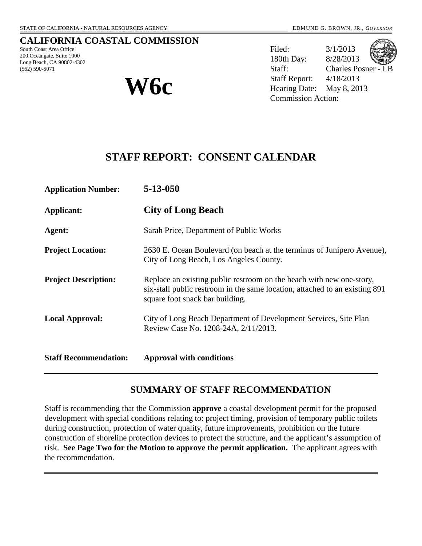#### **CALIFORNIA COASTAL COMMISSION**

South Coast Area Office 200 Oceangate, Suite 1000 Long Beach, CA 90802-4302 (562) 590-5071



Filed: 3/1/2013 180th Day: 8/28/2013 Staff: Charles Posner - LB Staff Report: 4/18/2013  $W$  **6c**<br>**W**  $\bullet$  **We We arring Date:** May 8, 2013 Commission Action:

# **STAFF REPORT: CONSENT CALENDAR**

| <b>Application Number:</b>   | $5 - 13 - 050$                                                                                                                                                                         |  |  |  |  |
|------------------------------|----------------------------------------------------------------------------------------------------------------------------------------------------------------------------------------|--|--|--|--|
| Applicant:                   | <b>City of Long Beach</b>                                                                                                                                                              |  |  |  |  |
| Agent:                       | Sarah Price, Department of Public Works                                                                                                                                                |  |  |  |  |
| <b>Project Location:</b>     | 2630 E. Ocean Boulevard (on beach at the terminus of Junipero Avenue),<br>City of Long Beach, Los Angeles County.                                                                      |  |  |  |  |
| <b>Project Description:</b>  | Replace an existing public restroom on the beach with new one-story,<br>six-stall public restroom in the same location, attached to an existing 891<br>square foot snack bar building. |  |  |  |  |
| <b>Local Approval:</b>       | City of Long Beach Department of Development Services, Site Plan<br>Review Case No. 1208-24A, 2/11/2013.                                                                               |  |  |  |  |
| <b>Staff Recommendation:</b> | <b>Approval with conditions</b>                                                                                                                                                        |  |  |  |  |

# **SUMMARY OF STAFF RECOMMENDATION**

Staff is recommending that the Commission **approve** a coastal development permit for the proposed development with special conditions relating to: project timing, provision of temporary public toilets during construction, protection of water quality, future improvements, prohibition on the future construction of shoreline protection devices to protect the structure, and the applicant's assumption of risk. **See Page Two for the Motion to approve the permit application.** The applicant agrees with the recommendation.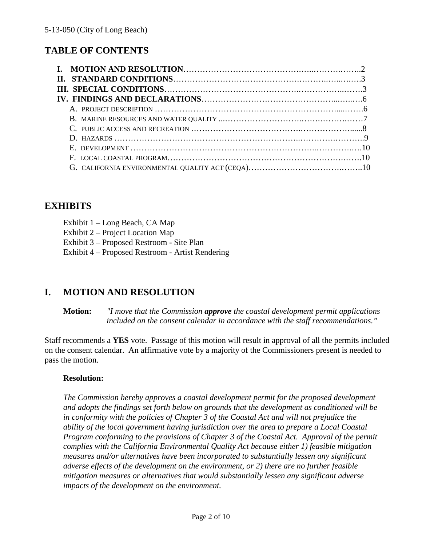# **TABLE OF CONTENTS**

| E. DEVELOPMENT $\ldots$ $\ldots$ $\ldots$ $\ldots$ $\ldots$ $\ldots$ $\ldots$ $\ldots$ $\ldots$ $\ldots$ $\ldots$ $\ldots$ $\ldots$ $\ldots$ $\ldots$ |  |
|-------------------------------------------------------------------------------------------------------------------------------------------------------|--|
|                                                                                                                                                       |  |
|                                                                                                                                                       |  |

# **EXHIBITS**

| Exhibit 1 - Long Beach, CA Map |  |  |  |
|--------------------------------|--|--|--|
|                                |  |  |  |

Exhibit 2 – Project Location Map

Exhibit 3 – Proposed Restroom - Site Plan

Exhibit 4 – Proposed Restroom - Artist Rendering

# **I. MOTION AND RESOLUTION**

**Motion:** *"I move that the Commission approve the coastal development permit applications included on the consent calendar in accordance with the staff recommendations."*

Staff recommends a **YES** vote. Passage of this motion will result in approval of all the permits included on the consent calendar. An affirmative vote by a majority of the Commissioners present is needed to pass the motion.

#### **Resolution:**

*The Commission hereby approves a coastal development permit for the proposed development and adopts the findings set forth below on grounds that the development as conditioned will be in conformity with the policies of Chapter 3 of the Coastal Act and will not prejudice the ability of the local government having jurisdiction over the area to prepare a Local Coastal Program conforming to the provisions of Chapter 3 of the Coastal Act. Approval of the permit complies with the California Environmental Quality Act because either 1) feasible mitigation measures and/or alternatives have been incorporated to substantially lessen any significant adverse effects of the development on the environment, or 2) there are no further feasible mitigation measures or alternatives that would substantially lessen any significant adverse impacts of the development on the environment.*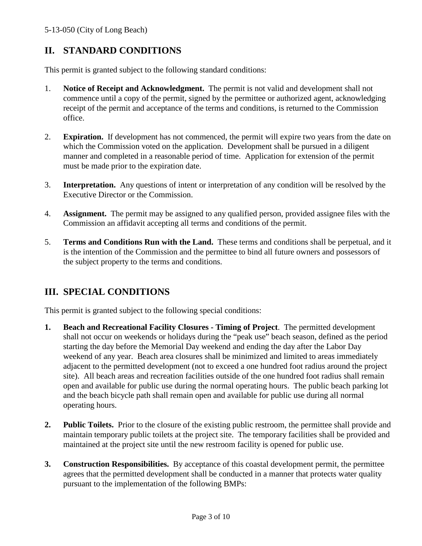# **II. STANDARD CONDITIONS**

This permit is granted subject to the following standard conditions:

- 1. **Notice of Receipt and Acknowledgment.** The permit is not valid and development shall not commence until a copy of the permit, signed by the permittee or authorized agent, acknowledging receipt of the permit and acceptance of the terms and conditions, is returned to the Commission office.
- 2. **Expiration.** If development has not commenced, the permit will expire two years from the date on which the Commission voted on the application. Development shall be pursued in a diligent manner and completed in a reasonable period of time. Application for extension of the permit must be made prior to the expiration date.
- 3. **Interpretation.** Any questions of intent or interpretation of any condition will be resolved by the Executive Director or the Commission.
- 4. **Assignment.** The permit may be assigned to any qualified person, provided assignee files with the Commission an affidavit accepting all terms and conditions of the permit.
- 5. **Terms and Conditions Run with the Land.** These terms and conditions shall be perpetual, and it is the intention of the Commission and the permittee to bind all future owners and possessors of the subject property to the terms and conditions.

# **III. SPECIAL CONDITIONS**

This permit is granted subject to the following special conditions:

- **1. Beach and Recreational Facility Closures - Timing of Project**. The permitted development shall not occur on weekends or holidays during the "peak use" beach season, defined as the period starting the day before the Memorial Day weekend and ending the day after the Labor Day weekend of any year. Beach area closures shall be minimized and limited to areas immediately adjacent to the permitted development (not to exceed a one hundred foot radius around the project site). All beach areas and recreation facilities outside of the one hundred foot radius shall remain open and available for public use during the normal operating hours. The public beach parking lot and the beach bicycle path shall remain open and available for public use during all normal operating hours.
- **2. Public Toilets.** Prior to the closure of the existing public restroom, the permittee shall provide and maintain temporary public toilets at the project site. The temporary facilities shall be provided and maintained at the project site until the new restroom facility is opened for public use.
- **3. Construction Responsibilities.** By acceptance of this coastal development permit, the permittee agrees that the permitted development shall be conducted in a manner that protects water quality pursuant to the implementation of the following BMPs: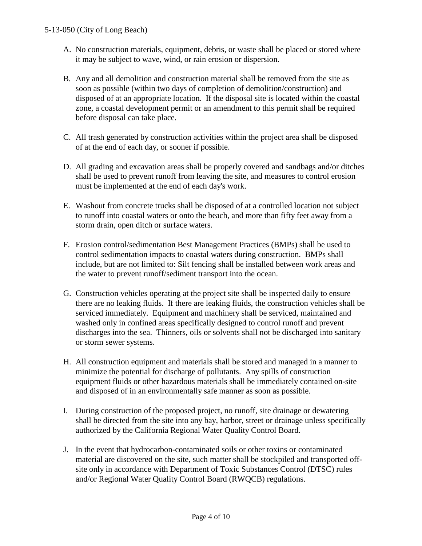- A. No construction materials, equipment, debris, or waste shall be placed or stored where it may be subject to wave, wind, or rain erosion or dispersion.
- B. Any and all demolition and construction material shall be removed from the site as soon as possible (within two days of completion of demolition/construction) and disposed of at an appropriate location. If the disposal site is located within the coastal zone, a coastal development permit or an amendment to this permit shall be required before disposal can take place.
- C. All trash generated by construction activities within the project area shall be disposed of at the end of each day, or sooner if possible.
- D. All grading and excavation areas shall be properly covered and sandbags and/or ditches shall be used to prevent runoff from leaving the site, and measures to control erosion must be implemented at the end of each day's work.
- E. Washout from concrete trucks shall be disposed of at a controlled location not subject to runoff into coastal waters or onto the beach, and more than fifty feet away from a storm drain, open ditch or surface waters.
- F. Erosion control/sedimentation Best Management Practices (BMPs) shall be used to control sedimentation impacts to coastal waters during construction. BMPs shall include, but are not limited to: Silt fencing shall be installed between work areas and the water to prevent runoff/sediment transport into the ocean.
- G. Construction vehicles operating at the project site shall be inspected daily to ensure there are no leaking fluids. If there are leaking fluids, the construction vehicles shall be serviced immediately. Equipment and machinery shall be serviced, maintained and washed only in confined areas specifically designed to control runoff and prevent discharges into the sea. Thinners, oils or solvents shall not be discharged into sanitary or storm sewer systems.
- H. All construction equipment and materials shall be stored and managed in a manner to minimize the potential for discharge of pollutants. Any spills of construction equipment fluids or other hazardous materials shall be immediately contained on-site and disposed of in an environmentally safe manner as soon as possible.
- I. During construction of the proposed project, no runoff, site drainage or dewatering shall be directed from the site into any bay, harbor, street or drainage unless specifically authorized by the California Regional Water Quality Control Board.
- J. In the event that hydrocarbon-contaminated soils or other toxins or contaminated material are discovered on the site, such matter shall be stockpiled and transported offsite only in accordance with Department of Toxic Substances Control (DTSC) rules and/or Regional Water Quality Control Board (RWQCB) regulations.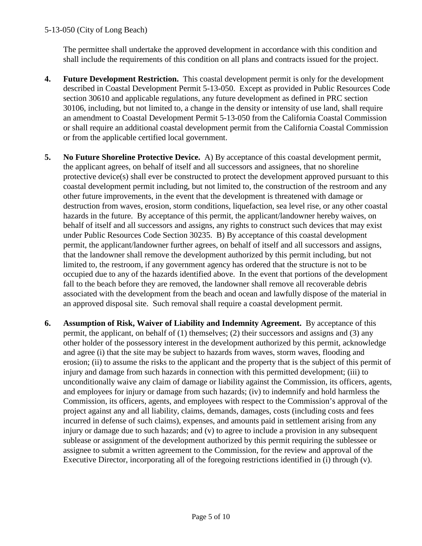#### 5-13-050 (City of Long Beach)

The permittee shall undertake the approved development in accordance with this condition and shall include the requirements of this condition on all plans and contracts issued for the project.

- **4. Future Development Restriction.** This coastal development permit is only for the development described in Coastal Development Permit 5-13-050. Except as provided in Public Resources Code section 30610 and applicable regulations, any future development as defined in PRC section 30106, including, but not limited to, a change in the density or intensity of use land, shall require an amendment to Coastal Development Permit 5-13-050 from the California Coastal Commission or shall require an additional coastal development permit from the California Coastal Commission or from the applicable certified local government.
- **5. No Future Shoreline Protective Device.** A) By acceptance of this coastal development permit, the applicant agrees, on behalf of itself and all successors and assignees, that no shoreline protective device(s) shall ever be constructed to protect the development approved pursuant to this coastal development permit including, but not limited to, the construction of the restroom and any other future improvements, in the event that the development is threatened with damage or destruction from waves, erosion, storm conditions, liquefaction, sea level rise, or any other coastal hazards in the future. By acceptance of this permit, the applicant/landowner hereby waives, on behalf of itself and all successors and assigns, any rights to construct such devices that may exist under Public Resources Code Section 30235. B) By acceptance of this coastal development permit, the applicant/landowner further agrees, on behalf of itself and all successors and assigns, that the landowner shall remove the development authorized by this permit including, but not limited to, the restroom, if any government agency has ordered that the structure is not to be occupied due to any of the hazards identified above. In the event that portions of the development fall to the beach before they are removed, the landowner shall remove all recoverable debris associated with the development from the beach and ocean and lawfully dispose of the material in an approved disposal site. Such removal shall require a coastal development permit.
- **6. Assumption of Risk, Waiver of Liability and Indemnity Agreement.** By acceptance of this permit, the applicant, on behalf of (1) themselves; (2) their successors and assigns and (3) any other holder of the possessory interest in the development authorized by this permit, acknowledge and agree (i) that the site may be subject to hazards from waves, storm waves, flooding and erosion; (ii) to assume the risks to the applicant and the property that is the subject of this permit of injury and damage from such hazards in connection with this permitted development; (iii) to unconditionally waive any claim of damage or liability against the Commission, its officers, agents, and employees for injury or damage from such hazards; (iv) to indemnify and hold harmless the Commission, its officers, agents, and employees with respect to the Commission's approval of the project against any and all liability, claims, demands, damages, costs (including costs and fees incurred in defense of such claims), expenses, and amounts paid in settlement arising from any injury or damage due to such hazards; and (v) to agree to include a provision in any subsequent sublease or assignment of the development authorized by this permit requiring the sublessee or assignee to submit a written agreement to the Commission, for the review and approval of the Executive Director, incorporating all of the foregoing restrictions identified in (i) through (v).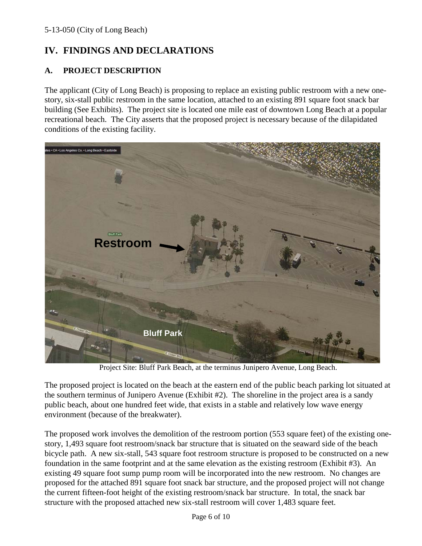# **IV. FINDINGS AND DECLARATIONS**

## **A. PROJECT DESCRIPTION**

The applicant (City of Long Beach) is proposing to replace an existing public restroom with a new onestory, six-stall public restroom in the same location, attached to an existing 891 square foot snack bar building (See Exhibits). The project site is located one mile east of downtown Long Beach at a popular recreational beach. The City asserts that the proposed project is necessary because of the dilapidated conditions of the existing facility.



Project Site: Bluff Park Beach, at the terminus Junipero Avenue, Long Beach.

The proposed project is located on the beach at the eastern end of the public beach parking lot situated at the southern terminus of Junipero Avenue (Exhibit #2). The shoreline in the project area is a sandy public beach, about one hundred feet wide, that exists in a stable and relatively low wave energy environment (because of the breakwater).

The proposed work involves the demolition of the restroom portion (553 square feet) of the existing onestory, 1,493 square foot restroom/snack bar structure that is situated on the seaward side of the beach bicycle path. A new six-stall, 543 square foot restroom structure is proposed to be constructed on a new foundation in the same footprint and at the same elevation as the existing restroom (Exhibit #3). An existing 49 square foot sump pump room will be incorporated into the new restroom. No changes are proposed for the attached 891 square foot snack bar structure, and the proposed project will not change the current fifteen-foot height of the existing restroom/snack bar structure. In total, the snack bar structure with the proposed attached new six-stall restroom will cover 1,483 square feet.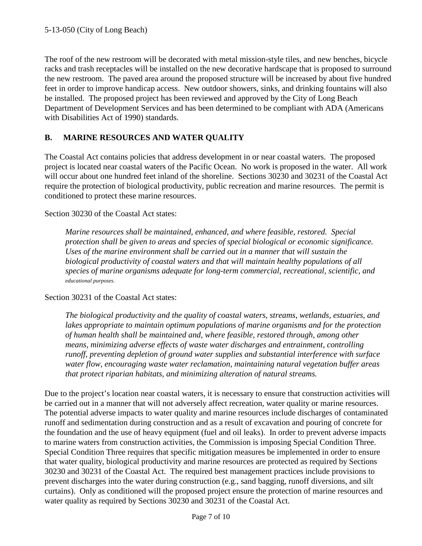The roof of the new restroom will be decorated with metal mission-style tiles, and new benches, bicycle racks and trash receptacles will be installed on the new decorative hardscape that is proposed to surround the new restroom. The paved area around the proposed structure will be increased by about five hundred feet in order to improve handicap access. New outdoor showers, sinks, and drinking fountains will also be installed. The proposed project has been reviewed and approved by the City of Long Beach Department of Development Services and has been determined to be compliant with ADA (Americans with Disabilities Act of 1990) standards.

## **B. MARINE RESOURCES AND WATER QUALITY**

The Coastal Act contains policies that address development in or near coastal waters. The proposed project is located near coastal waters of the Pacific Ocean. No work is proposed in the water. All work will occur about one hundred feet inland of the shoreline. Sections 30230 and 30231 of the Coastal Act require the protection of biological productivity, public recreation and marine resources. The permit is conditioned to protect these marine resources.

#### Section 30230 of the Coastal Act states:

*Marine resources shall be maintained, enhanced, and where feasible, restored. Special protection shall be given to areas and species of special biological or economic significance. Uses of the marine environment shall be carried out in a manner that will sustain the biological productivity of coastal waters and that will maintain healthy populations of all species of marine organisms adequate for long-term commercial, recreational, scientific, and educational purposes.*

#### Section 30231 of the Coastal Act states:

*The biological productivity and the quality of coastal waters, streams, wetlands, estuaries, and lakes appropriate to maintain optimum populations of marine organisms and for the protection of human health shall be maintained and, where feasible, restored through, among other means, minimizing adverse effects of waste water discharges and entrainment, controlling runoff, preventing depletion of ground water supplies and substantial interference with surface water flow, encouraging waste water reclamation, maintaining natural vegetation buffer areas that protect riparian habitats, and minimizing alteration of natural streams.*

Due to the project's location near coastal waters, it is necessary to ensure that construction activities will be carried out in a manner that will not adversely affect recreation, water quality or marine resources. The potential adverse impacts to water quality and marine resources include discharges of contaminated runoff and sedimentation during construction and as a result of excavation and pouring of concrete for the foundation and the use of heavy equipment (fuel and oil leaks). In order to prevent adverse impacts to marine waters from construction activities, the Commission is imposing Special Condition Three. Special Condition Three requires that specific mitigation measures be implemented in order to ensure that water quality, biological productivity and marine resources are protected as required by Sections 30230 and 30231 of the Coastal Act. The required best management practices include provisions to prevent discharges into the water during construction (e.g., sand bagging, runoff diversions, and silt curtains). Only as conditioned will the proposed project ensure the protection of marine resources and water quality as required by Sections 30230 and 30231 of the Coastal Act.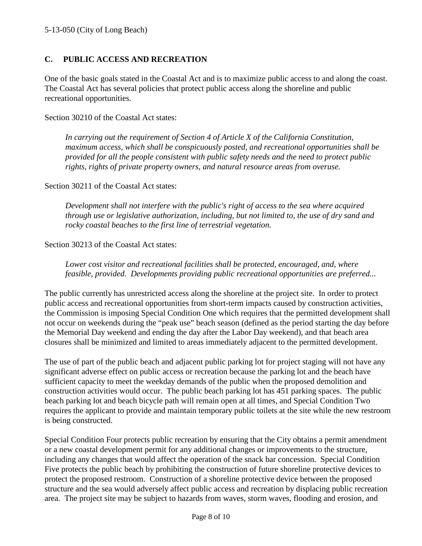## **C. PUBLIC ACCESS AND RECREATION**

One of the basic goals stated in the Coastal Act and is to maximize public access to and along the coast. The Coastal Act has several policies that protect public access along the shoreline and public recreational opportunities.

Section 30210 of the Coastal Act states:

*In carrying out the requirement of Section 4 of Article X of the California Constitution, maximum access, which shall be conspicuously posted, and recreational opportunities shall be provided for all the people consistent with public safety needs and the need to protect public rights, rights of private property owners, and natural resource areas from overuse.*

Section 30211 of the Coastal Act states:

*Development shall not interfere with the public's right of access to the sea where acquired through use or legislative authorization, including, but not limited to, the use of dry sand and rocky coastal beaches to the first line of terrestrial vegetation.*

#### Section 30213 of the Coastal Act states:

*Lower cost visitor and recreational facilities shall be protected, encouraged, and, where feasible, provided. Developments providing public recreational opportunities are preferred...*

The public currently has unrestricted access along the shoreline at the project site. In order to protect public access and recreational opportunities from short-term impacts caused by construction activities, the Commission is imposing Special Condition One which requires that the permitted development shall not occur on weekends during the "peak use" beach season (defined as the period starting the day before the Memorial Day weekend and ending the day after the Labor Day weekend), and that beach area closures shall be minimized and limited to areas immediately adjacent to the permitted development.

The use of part of the public beach and adjacent public parking lot for project staging will not have any significant adverse effect on public access or recreation because the parking lot and the beach have sufficient capacity to meet the weekday demands of the public when the proposed demolition and construction activities would occur. The public beach parking lot has 451 parking spaces. The public beach parking lot and beach bicycle path will remain open at all times, and Special Condition Two requires the applicant to provide and maintain temporary public toilets at the site while the new restroom is being constructed.

Special Condition Four protects public recreation by ensuring that the City obtains a permit amendment or a new coastal development permit for any additional changes or improvements to the structure, including any changes that would affect the operation of the snack bar concession. Special Condition Five protects the public beach by prohibiting the construction of future shoreline protective devices to protect the proposed restroom. Construction of a shoreline protective device between the proposed structure and the sea would adversely affect public access and recreation by displacing public recreation area. The project site may be subject to hazards from waves, storm waves, flooding and erosion, and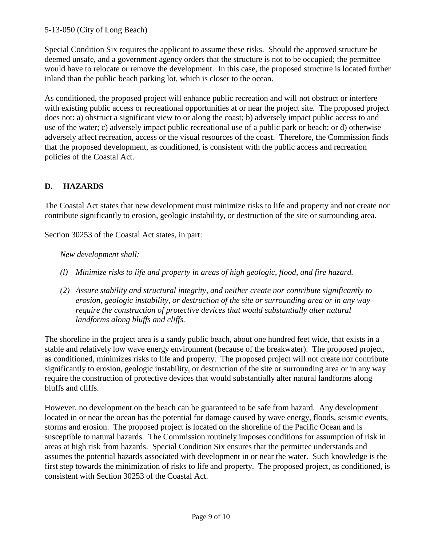## 5-13-050 (City of Long Beach)

Special Condition Six requires the applicant to assume these risks. Should the approved structure be deemed unsafe, and a government agency orders that the structure is not to be occupied; the permittee would have to relocate or remove the development. In this case, the proposed structure is located further inland than the public beach parking lot, which is closer to the ocean.

As conditioned, the proposed project will enhance public recreation and will not obstruct or interfere with existing public access or recreational opportunities at or near the project site. The proposed project does not: a) obstruct a significant view to or along the coast; b) adversely impact public access to and use of the water; c) adversely impact public recreational use of a public park or beach; or d) otherwise adversely affect recreation, access or the visual resources of the coast. Therefore, the Commission finds that the proposed development, as conditioned, is consistent with the public access and recreation policies of the Coastal Act.

## **D. HAZARDS**

The Coastal Act states that new development must minimize risks to life and property and not create nor contribute significantly to erosion, geologic instability, or destruction of the site or surrounding area.

Section 30253 of the Coastal Act states, in part:

*New development shall:*

- *(l) Minimize risks to life and property in areas of high geologic, flood, and fire hazard.*
- *(2) Assure stability and structural integrity, and neither create nor contribute significantly to erosion, geologic instability, or destruction of the site or surrounding area or in any way require the construction of protective devices that would substantially alter natural landforms along bluffs and cliffs.*

The shoreline in the project area is a sandy public beach, about one hundred feet wide, that exists in a stable and relatively low wave energy environment (because of the breakwater). The proposed project, as conditioned, minimizes risks to life and property. The proposed project will not create nor contribute significantly to erosion, geologic instability, or destruction of the site or surrounding area or in any way require the construction of protective devices that would substantially alter natural landforms along bluffs and cliffs.

However, no development on the beach can be guaranteed to be safe from hazard. Any development located in or near the ocean has the potential for damage caused by wave energy, floods, seismic events, storms and erosion. The proposed project is located on the shoreline of the Pacific Ocean and is susceptible to natural hazards. The Commission routinely imposes conditions for assumption of risk in areas at high risk from hazards. Special Condition Six ensures that the permittee understands and assumes the potential hazards associated with development in or near the water. Such knowledge is the first step towards the minimization of risks to life and property. The proposed project, as conditioned, is consistent with Section 30253 of the Coastal Act.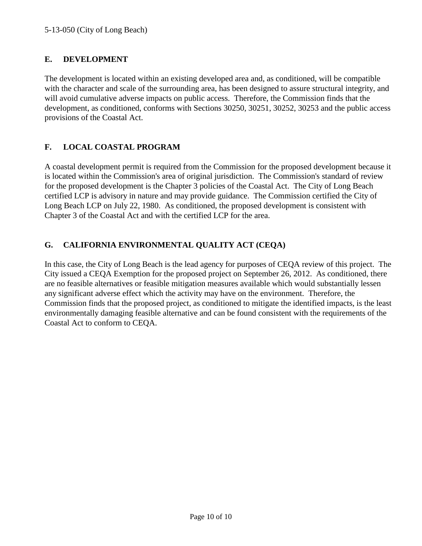## **E. DEVELOPMENT**

The development is located within an existing developed area and, as conditioned, will be compatible with the character and scale of the surrounding area, has been designed to assure structural integrity, and will avoid cumulative adverse impacts on public access. Therefore, the Commission finds that the development, as conditioned, conforms with Sections 30250, 30251, 30252, 30253 and the public access provisions of the Coastal Act.

## **F. LOCAL COASTAL PROGRAM**

A coastal development permit is required from the Commission for the proposed development because it is located within the Commission's area of original jurisdiction. The Commission's standard of review for the proposed development is the Chapter 3 policies of the Coastal Act. The City of Long Beach certified LCP is advisory in nature and may provide guidance. The Commission certified the City of Long Beach LCP on July 22, 1980. As conditioned, the proposed development is consistent with Chapter 3 of the Coastal Act and with the certified LCP for the area.

## **G. CALIFORNIA ENVIRONMENTAL QUALITY ACT (CEQA)**

In this case, the City of Long Beach is the lead agency for purposes of CEQA review of this project. The City issued a CEQA Exemption for the proposed project on September 26, 2012. As conditioned, there are no feasible alternatives or feasible mitigation measures available which would substantially lessen any significant adverse effect which the activity may have on the environment. Therefore, the Commission finds that the proposed project, as conditioned to mitigate the identified impacts, is the least environmentally damaging feasible alternative and can be found consistent with the requirements of the Coastal Act to conform to CEQA.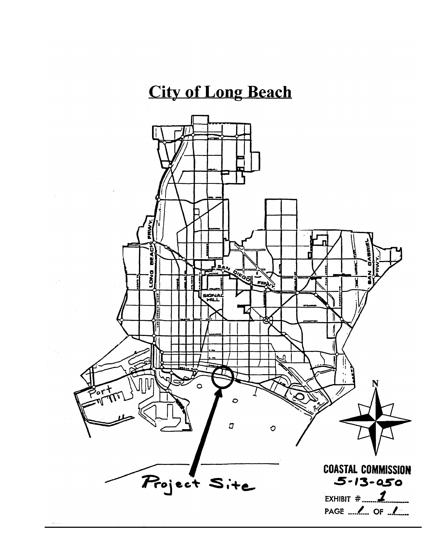# **City of Long Beach**

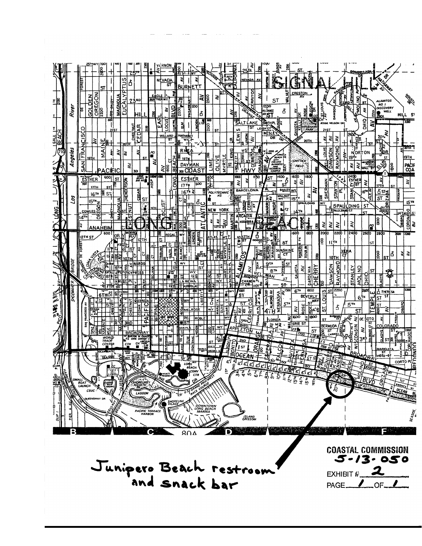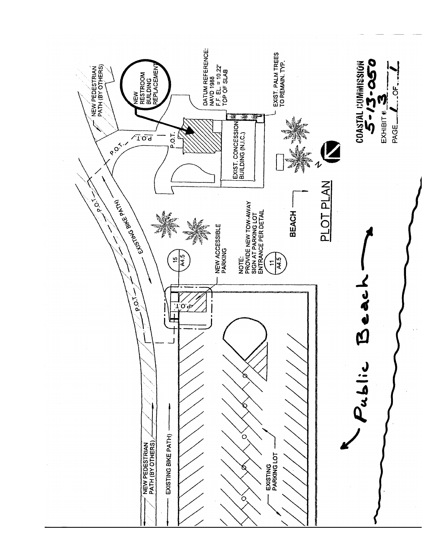